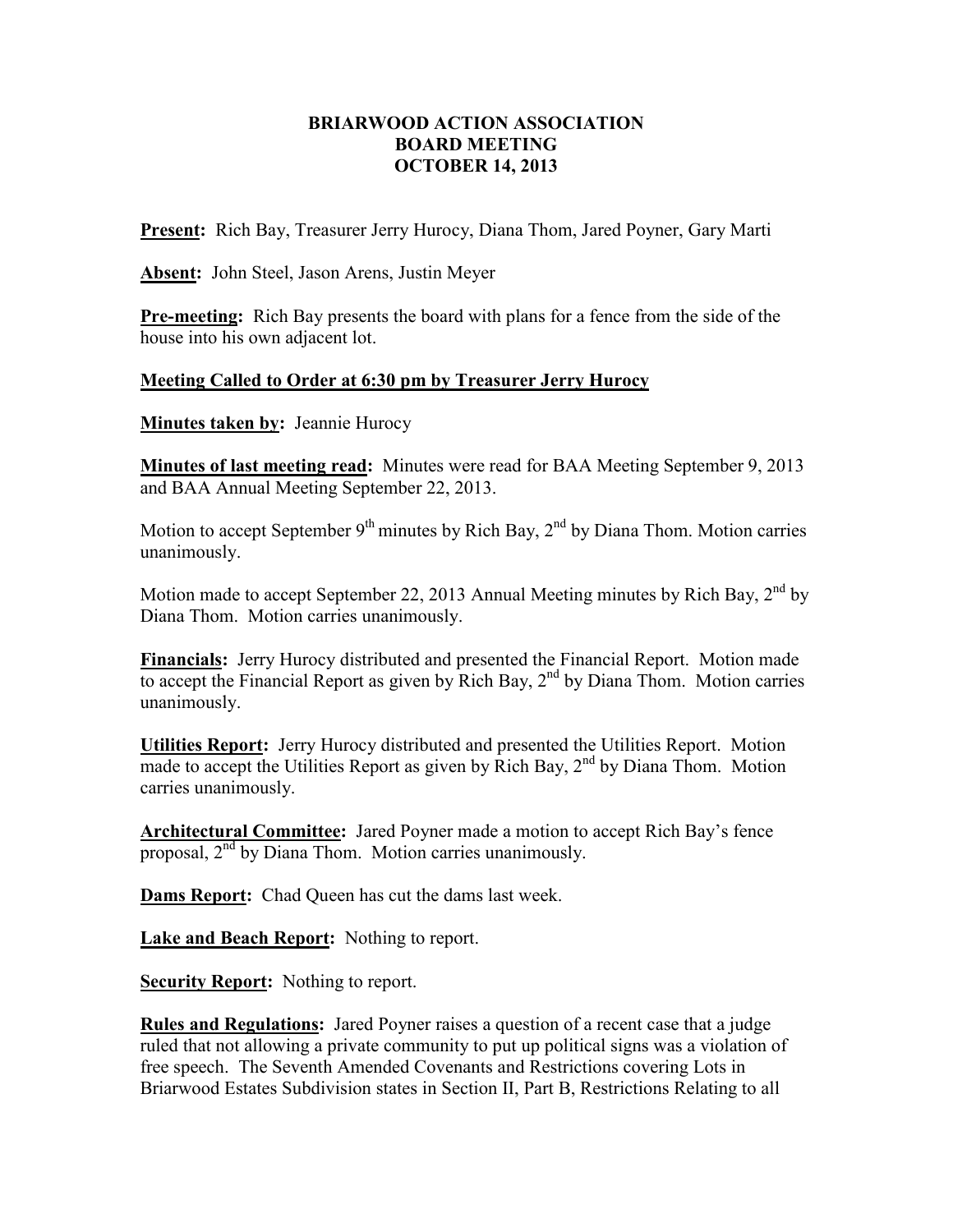## **BRIARWOOD ACTION ASSOCIATION BOARD MEETING OCTOBER 14, 2013**

**Present:** Rich Bay, Treasurer Jerry Hurocy, Diana Thom, Jared Poyner, Gary Marti

**Absent:** John Steel, Jason Arens, Justin Meyer

**Pre-meeting:** Rich Bay presents the board with plans for a fence from the side of the house into his own adjacent lot.

## **Meeting Called to Order at 6:30 pm by Treasurer Jerry Hurocy**

**Minutes taken by: Jeannie Hurocy** 

**Minutes of last meeting read:** Minutes were read for BAA Meeting September 9, 2013 and BAA Annual Meeting September 22, 2013.

Motion to accept September  $9<sup>th</sup>$  minutes by Rich Bay,  $2<sup>nd</sup>$  by Diana Thom. Motion carries unanimously.

Motion made to accept September 22, 2013 Annual Meeting minutes by Rich Bay,  $2<sup>nd</sup>$  by Diana Thom. Motion carries unanimously.

**Financials:** Jerry Hurocy distributed and presented the Financial Report. Motion made to accept the Financial Report as given by Rich Bay,  $2<sup>nd</sup>$  by Diana Thom. Motion carries unanimously.

**Utilities Report:** Jerry Hurocy distributed and presented the Utilities Report. Motion made to accept the Utilities Report as given by Rich Bay,  $2<sup>nd</sup>$  by Diana Thom. Motion carries unanimously.

**Architectural Committee:** Jared Poyner made a motion to accept Rich Bay's fence proposal,  $2<sup>nd</sup>$  by Diana Thom. Motion carries unanimously.

**Dams Report:** Chad Queen has cut the dams last week.

**Lake and Beach Report:** Nothing to report.

**Security Report:** Nothing to report.

**Rules and Regulations:** Jared Poyner raises a question of a recent case that a judge ruled that not allowing a private community to put up political signs was a violation of free speech. The Seventh Amended Covenants and Restrictions covering Lots in Briarwood Estates Subdivision states in Section II, Part B, Restrictions Relating to all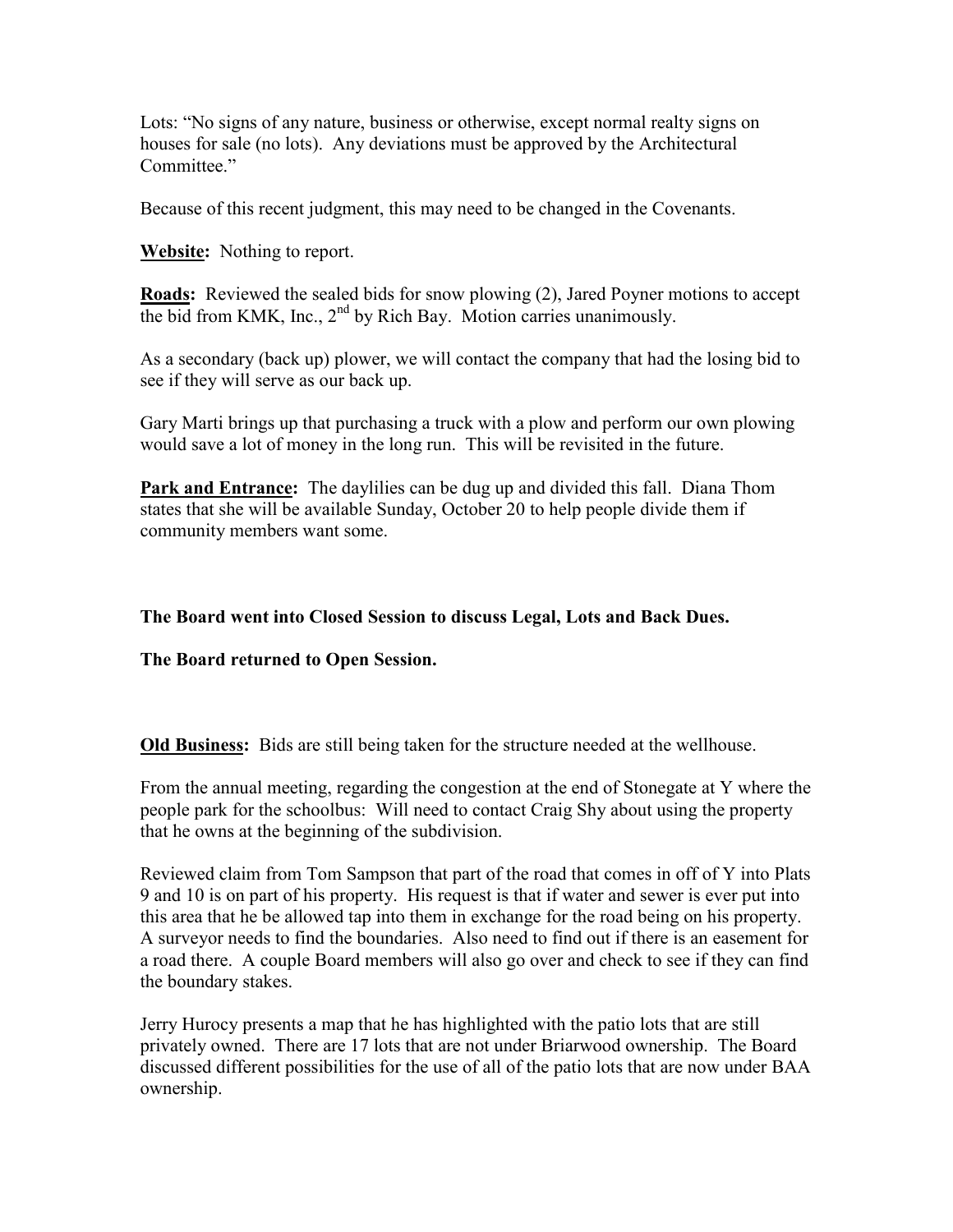Lots: "No signs of any nature, business or otherwise, except normal realty signs on houses for sale (no lots). Any deviations must be approved by the Architectural Committee."

Because of this recent judgment, this may need to be changed in the Covenants.

**Website:** Nothing to report.

**Roads:** Reviewed the sealed bids for snow plowing (2), Jared Poyner motions to accept the bid from KMK, Inc.,  $2<sup>nd</sup>$  by Rich Bay. Motion carries unanimously.

As a secondary (back up) plower, we will contact the company that had the losing bid to see if they will serve as our back up.

Gary Marti brings up that purchasing a truck with a plow and perform our own plowing would save a lot of money in the long run. This will be revisited in the future.

**Park and Entrance:** The daylilies can be dug up and divided this fall. Diana Thom states that she will be available Sunday, October 20 to help people divide them if community members want some.

## **The Board went into Closed Session to discuss Legal, Lots and Back Dues.**

**The Board returned to Open Session.** 

**Old Business:** Bids are still being taken for the structure needed at the wellhouse.

From the annual meeting, regarding the congestion at the end of Stonegate at Y where the people park for the schoolbus: Will need to contact Craig Shy about using the property that he owns at the beginning of the subdivision.

Reviewed claim from Tom Sampson that part of the road that comes in off of Y into Plats 9 and 10 is on part of his property. His request is that if water and sewer is ever put into this area that he be allowed tap into them in exchange for the road being on his property. A surveyor needs to find the boundaries. Also need to find out if there is an easement for a road there. A couple Board members will also go over and check to see if they can find the boundary stakes.

Jerry Hurocy presents a map that he has highlighted with the patio lots that are still privately owned. There are 17 lots that are not under Briarwood ownership. The Board discussed different possibilities for the use of all of the patio lots that are now under BAA ownership.